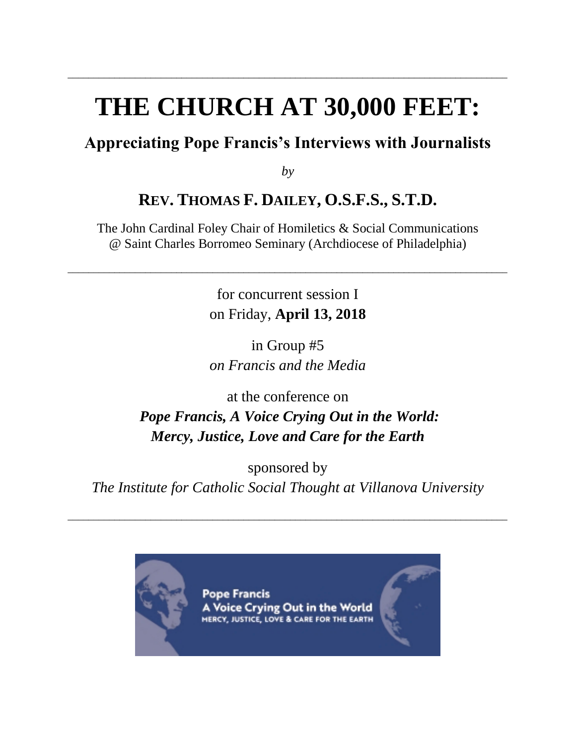# **THE CHURCH AT 30,000 FEET:**

\_\_\_\_\_\_\_\_\_\_\_\_\_\_\_\_\_\_\_\_\_\_\_\_\_\_\_\_\_\_\_\_\_\_\_\_\_\_\_\_\_\_\_\_\_\_\_\_\_\_\_\_\_\_\_\_\_\_\_\_\_\_\_\_\_\_\_\_\_\_\_\_\_\_\_\_\_\_\_\_\_\_\_\_\_

## **Appreciating Pope Francis's Interviews with Journalists**

*by*

## **REV. THOMAS F. DAILEY, O.S.F.S., S.T.D.**

The John Cardinal Foley Chair of Homiletics & Social Communications @ Saint Charles Borromeo Seminary (Archdiocese of Philadelphia)

\_\_\_\_\_\_\_\_\_\_\_\_\_\_\_\_\_\_\_\_\_\_\_\_\_\_\_\_\_\_\_\_\_\_\_\_\_\_\_\_\_\_\_\_\_\_\_\_\_\_\_\_\_\_\_\_\_\_\_\_\_\_\_\_\_\_\_\_\_\_\_\_\_\_\_\_\_\_\_\_\_\_\_\_\_

for concurrent session I on Friday, **April 13, 2018**

in Group #5 *on Francis and the Media*

at the conference on *Pope Francis, A Voice Crying Out in the World: Mercy, Justice, Love and Care for the Earth*

sponsored by *The Institute for Catholic Social Thought at Villanova University*

\_\_\_\_\_\_\_\_\_\_\_\_\_\_\_\_\_\_\_\_\_\_\_\_\_\_\_\_\_\_\_\_\_\_\_\_\_\_\_\_\_\_\_\_\_\_\_\_\_\_\_\_\_\_\_\_\_\_\_\_\_\_\_\_\_\_\_\_\_\_\_\_\_\_\_\_\_\_\_\_\_\_\_\_\_



Pope Francis A Voice Crying Out in the World MERCY, JUSTICE, LOVE & CARE FOR THE EARTH

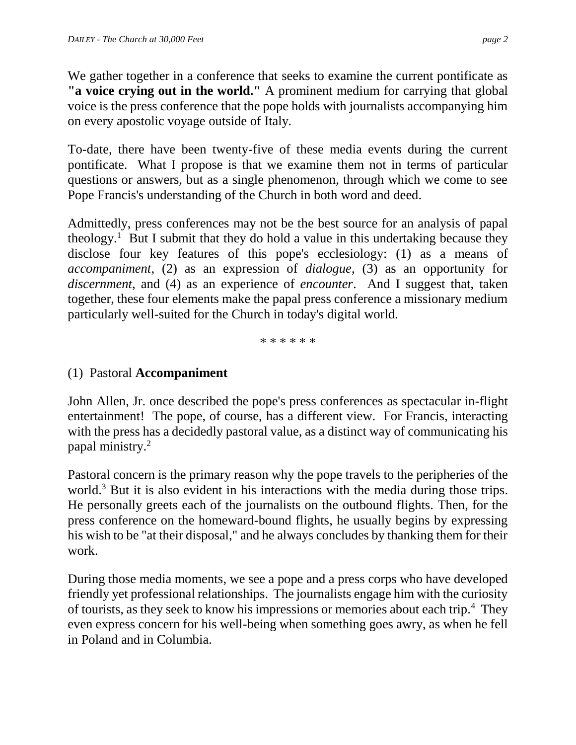We gather together in a conference that seeks to examine the current pontificate as **"a voice crying out in the world."** A prominent medium for carrying that global voice is the press conference that the pope holds with journalists accompanying him on every apostolic voyage outside of Italy.

To-date, there have been twenty-five of these media events during the current pontificate. What I propose is that we examine them not in terms of particular questions or answers, but as a single phenomenon, through which we come to see Pope Francis's understanding of the Church in both word and deed.

Admittedly, press conferences may not be the best source for an analysis of papal theology.<sup>1</sup> But I submit that they do hold a value in this undertaking because they disclose four key features of this pope's ecclesiology: (1) as a means of *accompaniment*, (2) as an expression of *dialogue*, (3) as an opportunity for *discernment*, and (4) as an experience of *encounter*. And I suggest that, taken together, these four elements make the papal press conference a missionary medium particularly well-suited for the Church in today's digital world.

\* \* \* \* \* \*

#### (1) Pastoral **Accompaniment**

John Allen, Jr. once described the pope's press conferences as spectacular in-flight entertainment! The pope, of course, has a different view. For Francis, interacting with the press has a decidedly pastoral value, as a distinct way of communicating his papal ministry.<sup>2</sup>

Pastoral concern is the primary reason why the pope travels to the peripheries of the world.<sup>3</sup> But it is also evident in his interactions with the media during those trips. He personally greets each of the journalists on the outbound flights. Then, for the press conference on the homeward-bound flights, he usually begins by expressing his wish to be "at their disposal," and he always concludes by thanking them for their work.

During those media moments, we see a pope and a press corps who have developed friendly yet professional relationships. The journalists engage him with the curiosity of tourists, as they seek to know his impressions or memories about each trip.<sup>4</sup> They even express concern for his well-being when something goes awry, as when he fell in Poland and in Columbia.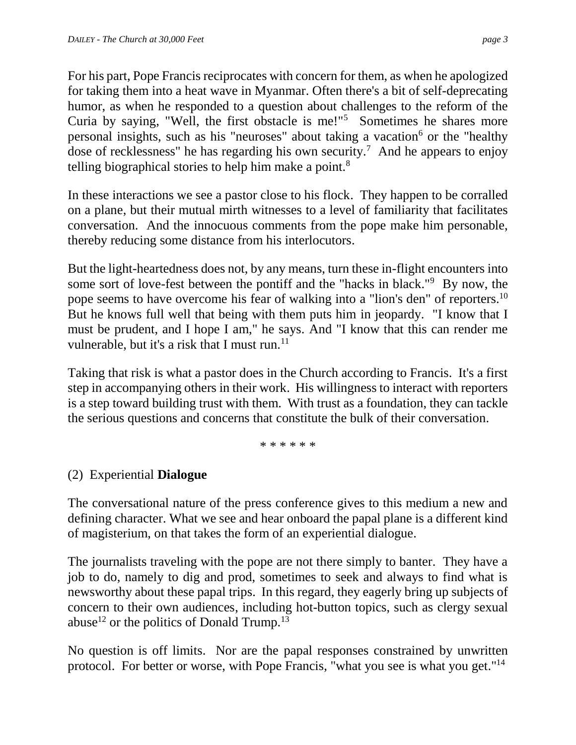For his part, Pope Francis reciprocates with concern for them, as when he apologized for taking them into a heat wave in Myanmar. Often there's a bit of self-deprecating humor, as when he responded to a question about challenges to the reform of the Curia by saying, "Well, the first obstacle is me!"<sup>5</sup> Sometimes he shares more personal insights, such as his "neuroses" about taking a vacation<sup>6</sup> or the "healthy dose of recklessness" he has regarding his own security.<sup>7</sup> And he appears to enjoy telling biographical stories to help him make a point.<sup>8</sup>

In these interactions we see a pastor close to his flock. They happen to be corralled on a plane, but their mutual mirth witnesses to a level of familiarity that facilitates conversation. And the innocuous comments from the pope make him personable, thereby reducing some distance from his interlocutors.

But the light-heartedness does not, by any means, turn these in-flight encounters into some sort of love-fest between the pontiff and the "hacks in black."<sup>9</sup> By now, the pope seems to have overcome his fear of walking into a "lion's den" of reporters.<sup>10</sup> But he knows full well that being with them puts him in jeopardy. "I know that I must be prudent, and I hope I am," he says. And "I know that this can render me vulnerable, but it's a risk that I must run.<sup>11</sup>

Taking that risk is what a pastor does in the Church according to Francis. It's a first step in accompanying others in their work. His willingness to interact with reporters is a step toward building trust with them. With trust as a foundation, they can tackle the serious questions and concerns that constitute the bulk of their conversation.

\* \* \* \* \* \*

## (2) Experiential **Dialogue**

The conversational nature of the press conference gives to this medium a new and defining character. What we see and hear onboard the papal plane is a different kind of magisterium, on that takes the form of an experiential dialogue.

The journalists traveling with the pope are not there simply to banter. They have a job to do, namely to dig and prod, sometimes to seek and always to find what is newsworthy about these papal trips. In this regard, they eagerly bring up subjects of concern to their own audiences, including hot-button topics, such as clergy sexual abuse<sup>12</sup> or the politics of Donald Trump.<sup>13</sup>

No question is off limits. Nor are the papal responses constrained by unwritten protocol. For better or worse, with Pope Francis, "what you see is what you get."<sup>14</sup>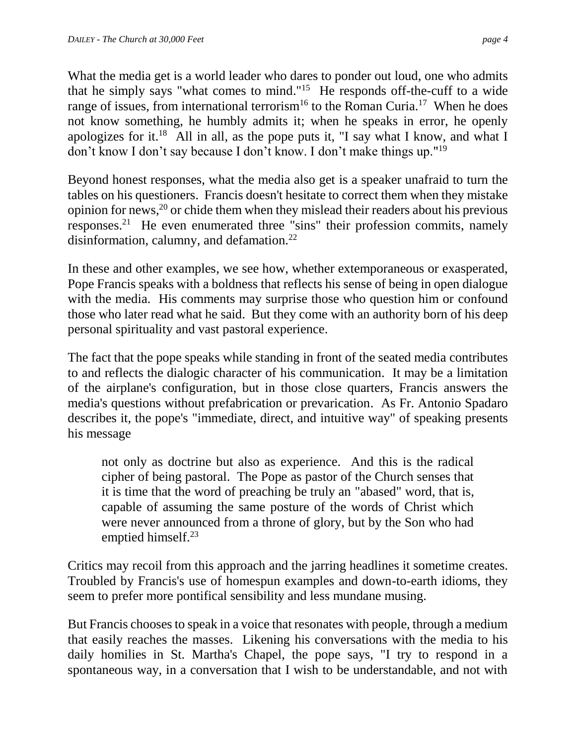What the media get is a world leader who dares to ponder out loud, one who admits that he simply says "what comes to mind."<sup>15</sup> He responds off-the-cuff to a wide range of issues, from international terrorism<sup>16</sup> to the Roman Curia.<sup>17</sup> When he does not know something, he humbly admits it; when he speaks in error, he openly apologizes for it.<sup>18</sup> All in all, as the pope puts it, "I say what I know, and what I don't know I don't say because I don't know. I don't make things up."<sup>19</sup>

Beyond honest responses, what the media also get is a speaker unafraid to turn the tables on his questioners. Francis doesn't hesitate to correct them when they mistake opinion for news, <sup>20</sup> or chide them when they mislead their readers about his previous responses.<sup>21</sup> He even enumerated three "sins" their profession commits, namely disinformation, calumny, and defamation. $^{22}$ 

In these and other examples, we see how, whether extemporaneous or exasperated, Pope Francis speaks with a boldness that reflects his sense of being in open dialogue with the media. His comments may surprise those who question him or confound those who later read what he said. But they come with an authority born of his deep personal spirituality and vast pastoral experience.

The fact that the pope speaks while standing in front of the seated media contributes to and reflects the dialogic character of his communication. It may be a limitation of the airplane's configuration, but in those close quarters, Francis answers the media's questions without prefabrication or prevarication. As Fr. Antonio Spadaro describes it, the pope's "immediate, direct, and intuitive way" of speaking presents his message

not only as doctrine but also as experience. And this is the radical cipher of being pastoral. The Pope as pastor of the Church senses that it is time that the word of preaching be truly an "abased" word, that is, capable of assuming the same posture of the words of Christ which were never announced from a throne of glory, but by the Son who had emptied himself.<sup>23</sup>

Critics may recoil from this approach and the jarring headlines it sometime creates. Troubled by Francis's use of homespun examples and down-to-earth idioms, they seem to prefer more pontifical sensibility and less mundane musing.

But Francis chooses to speak in a voice that resonates with people, through a medium that easily reaches the masses. Likening his conversations with the media to his daily homilies in St. Martha's Chapel, the pope says, "I try to respond in a spontaneous way, in a conversation that I wish to be understandable, and not with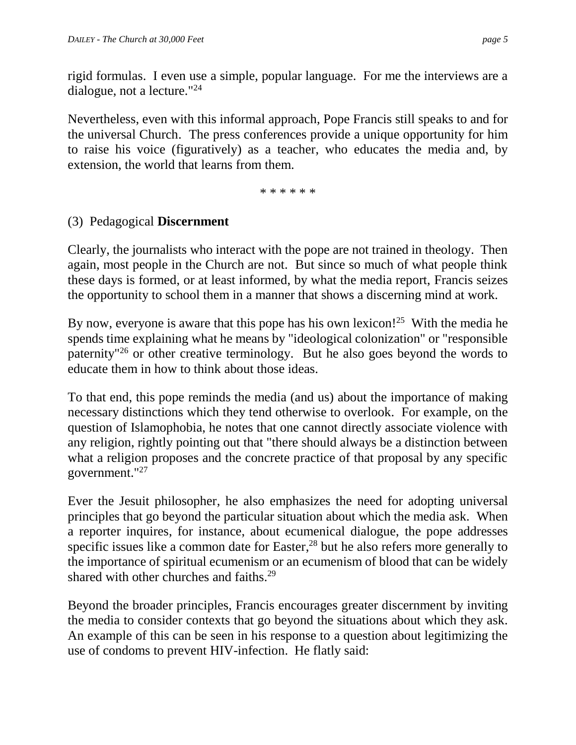rigid formulas. I even use a simple, popular language. For me the interviews are a dialogue, not a lecture."<sup>24</sup>

Nevertheless, even with this informal approach, Pope Francis still speaks to and for the universal Church. The press conferences provide a unique opportunity for him to raise his voice (figuratively) as a teacher, who educates the media and, by extension, the world that learns from them.

\* \* \* \* \* \*

### (3) Pedagogical **Discernment**

Clearly, the journalists who interact with the pope are not trained in theology. Then again, most people in the Church are not. But since so much of what people think these days is formed, or at least informed, by what the media report, Francis seizes the opportunity to school them in a manner that shows a discerning mind at work.

By now, everyone is aware that this pope has his own lexicon!<sup>25</sup> With the media he spends time explaining what he means by "ideological colonization" or "responsible paternity"<sup>26</sup> or other creative terminology. But he also goes beyond the words to educate them in how to think about those ideas.

To that end, this pope reminds the media (and us) about the importance of making necessary distinctions which they tend otherwise to overlook. For example, on the question of Islamophobia, he notes that one cannot directly associate violence with any religion, rightly pointing out that "there should always be a distinction between what a religion proposes and the concrete practice of that proposal by any specific government."<sup>27</sup>

Ever the Jesuit philosopher, he also emphasizes the need for adopting universal principles that go beyond the particular situation about which the media ask. When a reporter inquires, for instance, about ecumenical dialogue, the pope addresses specific issues like a common date for Easter,<sup>28</sup> but he also refers more generally to the importance of spiritual ecumenism or an ecumenism of blood that can be widely shared with other churches and faiths.<sup>29</sup>

Beyond the broader principles, Francis encourages greater discernment by inviting the media to consider contexts that go beyond the situations about which they ask. An example of this can be seen in his response to a question about legitimizing the use of condoms to prevent HIV-infection. He flatly said: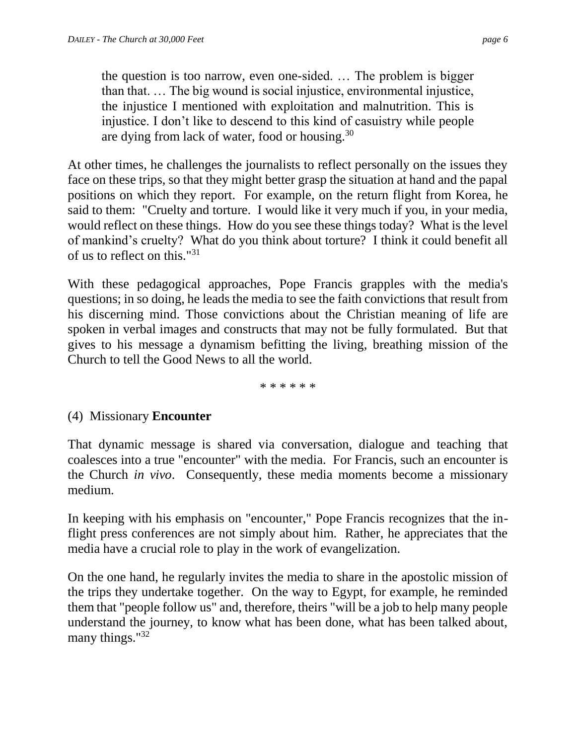the question is too narrow, even one-sided. … The problem is bigger than that. … The big wound is social injustice, environmental injustice, the injustice I mentioned with exploitation and malnutrition. This is injustice. I don't like to descend to this kind of casuistry while people are dying from lack of water, food or housing.<sup>30</sup>

At other times, he challenges the journalists to reflect personally on the issues they face on these trips, so that they might better grasp the situation at hand and the papal positions on which they report. For example, on the return flight from Korea, he said to them: "Cruelty and torture. I would like it very much if you, in your media, would reflect on these things. How do you see these things today? What is the level of mankind's cruelty? What do you think about torture? I think it could benefit all of us to reflect on this."<sup>31</sup>

With these pedagogical approaches, Pope Francis grapples with the media's questions; in so doing, he leads the media to see the faith convictions that result from his discerning mind. Those convictions about the Christian meaning of life are spoken in verbal images and constructs that may not be fully formulated. But that gives to his message a dynamism befitting the living, breathing mission of the Church to tell the Good News to all the world.

\* \* \* \* \* \*

#### (4) Missionary **Encounter**

That dynamic message is shared via conversation, dialogue and teaching that coalesces into a true "encounter" with the media. For Francis, such an encounter is the Church *in vivo*. Consequently, these media moments become a missionary medium.

In keeping with his emphasis on "encounter," Pope Francis recognizes that the inflight press conferences are not simply about him. Rather, he appreciates that the media have a crucial role to play in the work of evangelization.

On the one hand, he regularly invites the media to share in the apostolic mission of the trips they undertake together. On the way to Egypt, for example, he reminded them that "people follow us" and, therefore, theirs "will be a job to help many people understand the journey, to know what has been done, what has been talked about, many things."<sup>32</sup>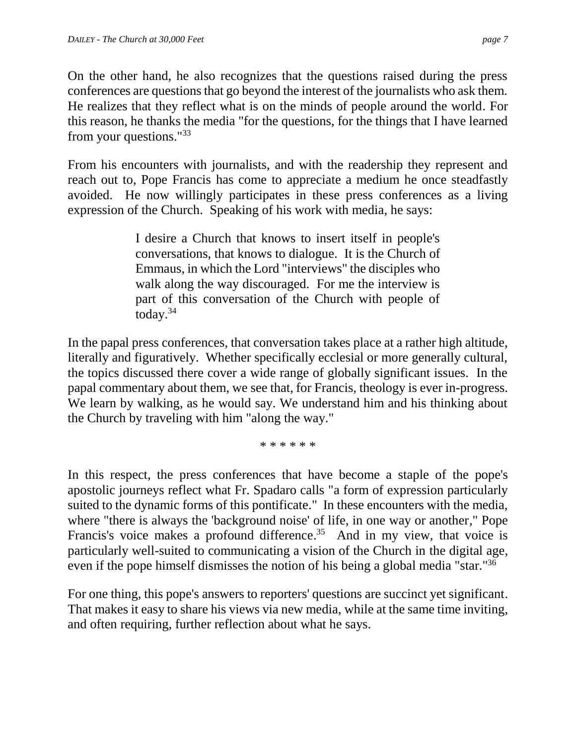On the other hand, he also recognizes that the questions raised during the press conferences are questions that go beyond the interest of the journalists who ask them. He realizes that they reflect what is on the minds of people around the world. For this reason, he thanks the media "for the questions, for the things that I have learned from your questions."<sup>33</sup>

From his encounters with journalists, and with the readership they represent and reach out to, Pope Francis has come to appreciate a medium he once steadfastly avoided. He now willingly participates in these press conferences as a living expression of the Church. Speaking of his work with media, he says:

> I desire a Church that knows to insert itself in people's conversations, that knows to dialogue. It is the Church of Emmaus, in which the Lord "interviews" the disciples who walk along the way discouraged. For me the interview is part of this conversation of the Church with people of today. $34$

In the papal press conferences, that conversation takes place at a rather high altitude, literally and figuratively. Whether specifically ecclesial or more generally cultural, the topics discussed there cover a wide range of globally significant issues. In the papal commentary about them, we see that, for Francis, theology is ever in-progress. We learn by walking, as he would say. We understand him and his thinking about the Church by traveling with him "along the way."

\* \* \* \* \* \*

In this respect, the press conferences that have become a staple of the pope's apostolic journeys reflect what Fr. Spadaro calls "a form of expression particularly suited to the dynamic forms of this pontificate." In these encounters with the media, where "there is always the 'background noise' of life, in one way or another," Pope Francis's voice makes a profound difference.<sup>35</sup> And in my view, that voice is particularly well-suited to communicating a vision of the Church in the digital age, even if the pope himself dismisses the notion of his being a global media "star."<sup>36</sup>

For one thing, this pope's answers to reporters' questions are succinct yet significant. That makes it easy to share his views via new media, while at the same time inviting, and often requiring, further reflection about what he says.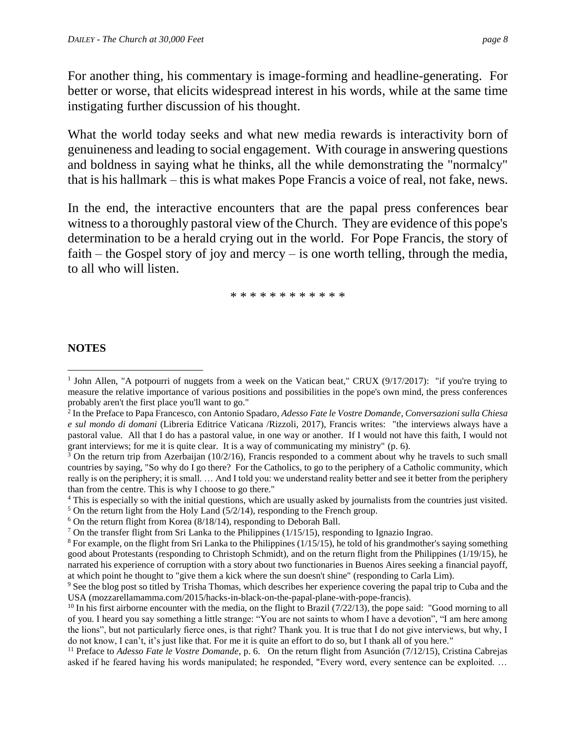For another thing, his commentary is image-forming and headline-generating. For better or worse, that elicits widespread interest in his words, while at the same time instigating further discussion of his thought.

What the world today seeks and what new media rewards is interactivity born of genuineness and leading to social engagement. With courage in answering questions and boldness in saying what he thinks, all the while demonstrating the "normalcy" that is his hallmark – this is what makes Pope Francis a voice of real, not fake, news.

In the end, the interactive encounters that are the papal press conferences bear witness to a thoroughly pastoral view of the Church. They are evidence of this pope's determination to be a herald crying out in the world. For Pope Francis, the story of faith – the Gospel story of joy and mercy – is one worth telling, through the media, to all who will listen.

\* \* \* \* \* \* \* \* \* \* \* \*

#### **NOTES**

 $\overline{\phantom{a}}$ 

 $5$  On the return light from the Holy Land (5/2/14), responding to the French group.

<sup>&</sup>lt;sup>1</sup> John Allen, "A potpourri of nuggets from a week on the Vatican beat," CRUX (9/17/2017): "if you're trying to measure the relative importance of various positions and possibilities in the pope's own mind, the press conferences probably aren't the first place you'll want to go."

<sup>2</sup> In the Preface to Papa Francesco, con Antonio Spadaro, *Adesso Fate le Vostre Domande, Conversazioni sulla Chiesa e sul mondo di domani* (Libreria Editrice Vaticana /Rizzoli, 2017), Francis writes: "the interviews always have a pastoral value. All that I do has a pastoral value, in one way or another. If I would not have this faith, I would not grant interviews; for me it is quite clear. It is a way of communicating my ministry" (p. 6).

 $3$  On the return trip from Azerbaijan (10/2/16), Francis responded to a comment about why he travels to such small countries by saying, "So why do I go there? For the Catholics, to go to the periphery of a Catholic community, which really is on the periphery; it is small. … And I told you: we understand reality better and see it better from the periphery than from the centre. This is why I choose to go there."

<sup>4</sup> This is especially so with the initial questions, which are usually asked by journalists from the countries just visited.

 $6$  On the return flight from Korea (8/18/14), responding to Deborah Ball.

<sup>7</sup> On the transfer flight from Sri Lanka to the Philippines (1/15/15), responding to Ignazio Ingrao.

 $8$  For example, on the flight from Sri Lanka to the Philippines ( $1/15/15$ ), he told of his grandmother's saying something good about Protestants (responding to Christoph Schmidt), and on the return flight from the Philippines (1/19/15), he narrated his experience of corruption with a story about two functionaries in Buenos Aires seeking a financial payoff, at which point he thought to "give them a kick where the sun doesn't shine" (responding to Carla Lim).

<sup>9</sup> See the blog post so titled by Trisha Thomas, which describes her experience covering the papal trip to Cuba and the USA (mozzarellamamma.com/2015/hacks-in-black-on-the-papal-plane-with-pope-francis).

<sup>&</sup>lt;sup>10</sup> In his first airborne encounter with the media, on the flight to Brazil  $(7/22/13)$ , the pope said: "Good morning to all of you. I heard you say something a little strange: "You are not saints to whom I have a devotion", "I am here among the lions", but not particularly fierce ones, is that right? Thank you. It is true that I do not give interviews, but why, I do not know, I can't, it's just like that. For me it is quite an effort to do so, but I thank all of you here."

<sup>11</sup> Preface to *Adesso Fate le Vostre Domande*, p. 6. On the return flight from Asunción (7/12/15), Cristina Cabrejas asked if he feared having his words manipulated; he responded, "Every word, every sentence can be exploited. …